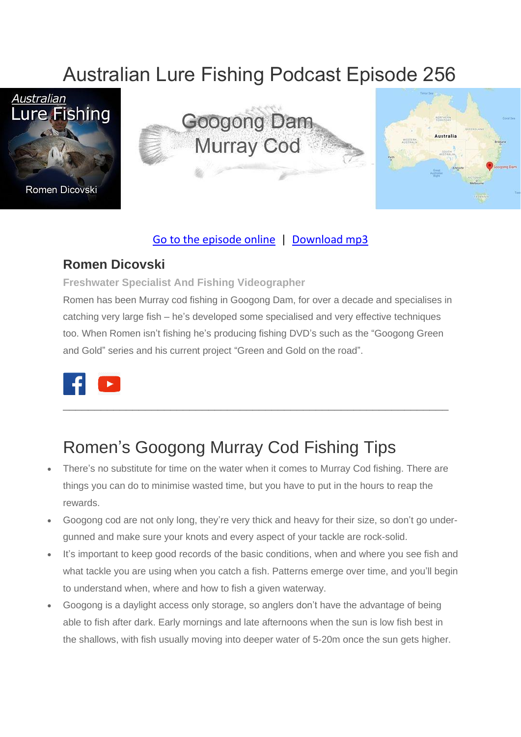# Australian Lure Fishing Podcast Episode 256







### [Go to the episode online](https://doclures.com/gladstone-mangrove-jack-daniel-cook/) | [Download mp3](https://traffic.libsyn.com/secure/doclures/gladstone-mangrove-jack-daniel-cook.mp3)

### **Romen Dicovski**

#### **Freshwater Specialist And Fishing Videographer**

Romen has been Murray cod fishing in Googong Dam, for over a decade and specialises in catching very large fish – he's developed some specialised and very effective techniques too. When Romen isn't fishing he's producing fishing DVD's such as the "Googong Green and Gold" series and his current project "Green and Gold on the road".



# Romen's Googong Murray Cod Fishing Tips

- There's no substitute for time on the water when it comes to Murray Cod fishing. There are things you can do to minimise wasted time, but you have to put in the hours to reap the rewards.
- Googong cod are not only long, they're very thick and heavy for their size, so don't go undergunned and make sure your knots and every aspect of your tackle are rock-solid.
- It's important to keep good records of the basic conditions, when and where you see fish and what tackle you are using when you catch a fish. Patterns emerge over time, and you'll begin to understand when, where and how to fish a given waterway.
- Googong is a daylight access only storage, so anglers don't have the advantage of being able to fish after dark. Early mornings and late afternoons when the sun is low fish best in the shallows, with fish usually moving into deeper water of 5-20m once the sun gets higher.